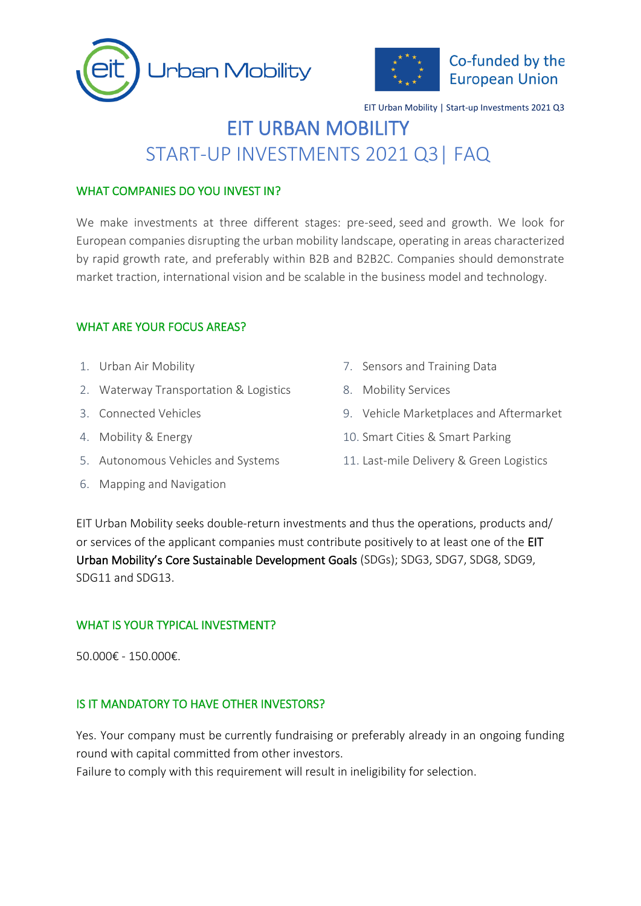



# Co-funded by the **European Union**

EIT Urban Mobility | Start-up Investments 2021 Q3

# EIT URBAN MOBILITY START-UP INVESTMENTS 2021 Q3| FAQ

#### WHAT COMPANIES DO YOU INVEST IN?

We make investments at three different stages: pre-seed, seed and growth. We look for European companies disrupting the urban mobility landscape, operating in areas characterized by rapid growth rate, and preferably within B2B and B2B2C. Companies should demonstrate market traction, international vision and be scalable in the business model and technology.

## WHAT ARE YOUR FOCUS AREAS?

- 1. Urban Air Mobility
- 2. Waterway Transportation & Logistics
- 3. Connected Vehicles
- 4. Mobility & Energy
- 5. Autonomous Vehicles and Systems
- 6. Mapping and Navigation
- 7. Sensors and Training Data
- 8. Mobility Services
- 9. Vehicle Marketplaces and Aftermarket
- 10. Smart Cities & Smart Parking
- 11. Last-mile Delivery & Green Logistics

EIT Urban Mobility seeks double-return investments and thus the operations, products and/ or services of the applicant companies must contribute positively to at least one of the EIT Urban Mobility's [Core Sustainable Development Goals](https://ec.europa.eu/info/sites/info/files/sdgs_web1_0.png) (SDGs); SDG3, SDG7, SDG8, SDG9, SDG11 and SDG13.

#### WHAT IS YOUR TYPICAL INVESTMENT?

50.000€ - 150.000€.

#### IS IT MANDATORY TO HAVE OTHER INVESTORS?

Yes. Your company must be currently fundraising or preferably already in an ongoing funding round with capital committed from other investors.

Failure to comply with this requirement will result in ineligibility for selection.